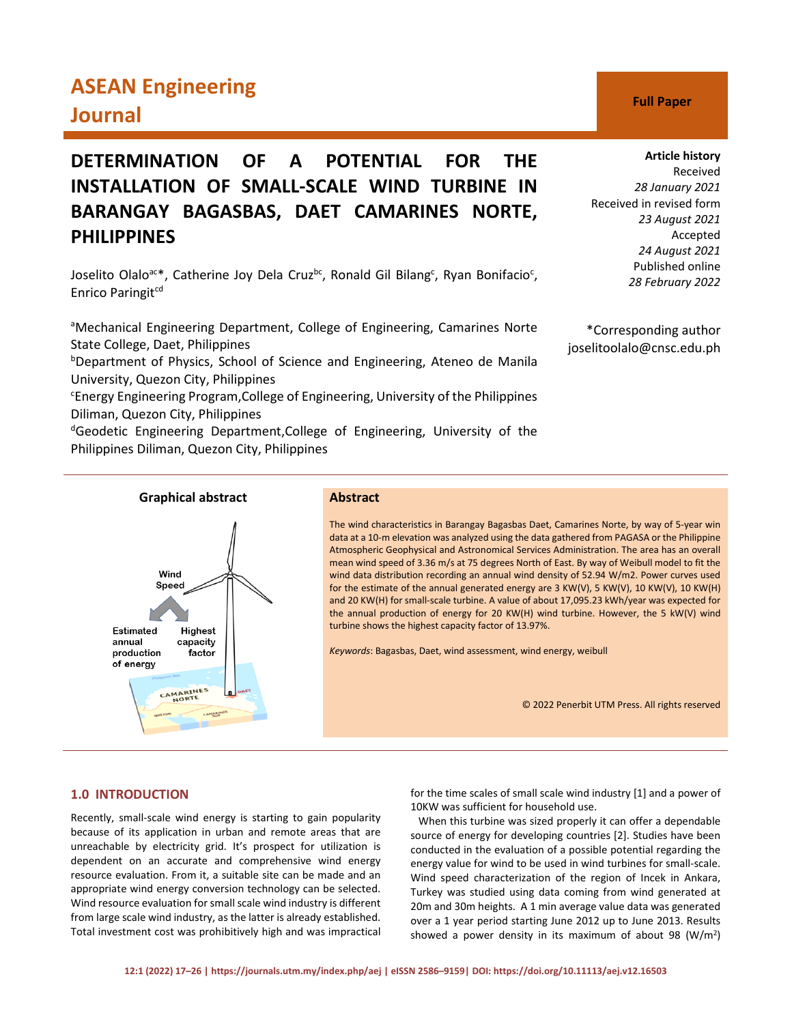# **ASEAN Engineering Journal C Full Paper**

# **DETERMINATION OF A POTENTIAL FOR THE INSTALLATION OF SMALL-SCALE WIND TURBINE IN BARANGAY BAGASBAS, DAET CAMARINES NORTE, PHILIPPINES**

Joselito Olalo<sup>ac\*</sup>, Catherine Joy Dela Cruz<sup>bc</sup>, Ronald Gil Bilang<sup>c</sup>, Ryan Bonifacio<sup>c</sup>, Enrico Paringit<sup>cd</sup>

<sup>a</sup>Mechanical Engineering Department, College of Engineering, Camarines Norte State College, Daet, Philippines

<sup>b</sup>Department of Physics, School of Science and Engineering, Ateneo de Manila University, Quezon City, Philippines

<sup>c</sup>Energy Engineering Program, College of Engineering, University of the Philippines Diliman, Quezon City, Philippines

<sup>d</sup>Geodetic Engineering Department, College of Engineering, University of the Philippines Diliman, Quezon City, Philippines



Received *28 January 2021* Received in revised form *23 August 2021* Accepted *24 August 2021* Published online *28 February 2022*

\*Corresponding author joselitoolalo@cnsc.edu.ph

# Wind Speed Estimated Highest annual capacity production factor .<br>of energy CAMARINES

# **Graphical abstract Abstract**

The wind characteristics in Barangay Bagasbas Daet, Camarines Norte, by way of 5-year win data at a 10-m elevation was analyzed using the data gathered from PAGASA or the Philippine Atmospheric Geophysical and Astronomical Services Administration. The area has an overall mean wind speed of 3.36 m/s at 75 degrees North of East. By way of Weibull model to fit the wind data distribution recording an annual wind density of 52.94 W/m2. Power curves used for the estimate of the annual generated energy are 3 KW(V), 5 KW(V), 10 KW(V), 10 KW(H) and 20 KW(H) for small-scale turbine. A value of about 17,095.23 kWh/year was expected for the annual production of energy for 20 KW(H) wind turbine. However, the 5 kW(V) wind turbine shows the highest capacity factor of 13.97%.

*Keywords*: Bagasbas, Daet, wind assessment, wind energy, weibull

© 2022 Penerbit UTM Press. All rights reserved

# **1.0 INTRODUCTION**

Recently, small-scale wind energy is starting to gain popularity because of its application in urban and remote areas that are unreachable by electricity grid. It's prospect for utilization is dependent on an accurate and comprehensive wind energy resource evaluation. From it, a suitable site can be made and an appropriate wind energy conversion technology can be selected. Wind resource evaluation for small scale wind industry is different from large scale wind industry, as the latter is already established. Total investment cost was prohibitively high and was impractical for the time scales of small scale wind industry [1] and a power of 10KW was sufficient for household use.

 When this turbine was sized properly it can offer a dependable source of energy for developing countries [2]. Studies have been conducted in the evaluation of a possible potential regarding the energy value for wind to be used in wind turbines for small-scale. Wind speed characterization of the region of Incek in Ankara, Turkey was studied using data coming from wind generated at 20m and 30m heights. A 1 min average value data was generated over a 1 year period starting June 2012 up to June 2013. Results showed a power density in its maximum of about 98  $(W/m<sup>2</sup>)$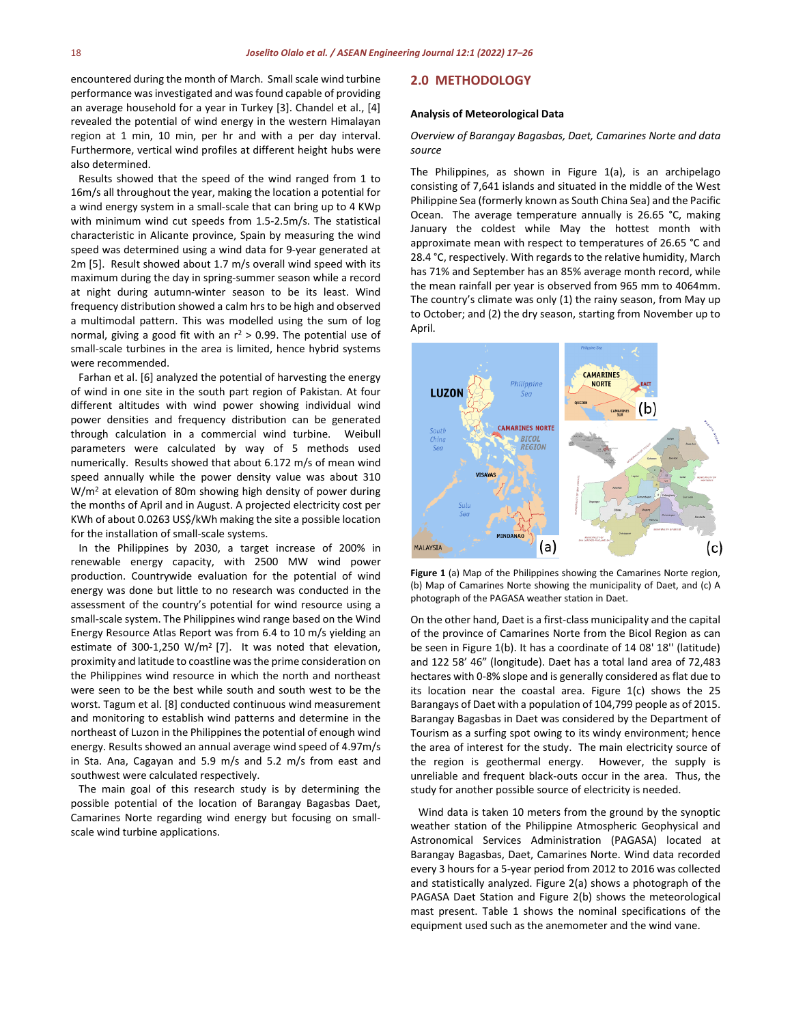encountered during the month of March. Small scale wind turbine performance was investigated and was found capable of providing an average household for a year in Turkey [3]. Chandel et al., [4] revealed the potential of wind energy in the western Himalayan region at 1 min, 10 min, per hr and with a per day interval. Furthermore, vertical wind profiles at different height hubs were also determined.

 Results showed that the speed of the wind ranged from 1 to 16m/s all throughout the year, making the location a potential for a wind energy system in a small-scale that can bring up to 4 KWp with minimum wind cut speeds from 1.5-2.5m/s. The statistical characteristic in Alicante province, Spain by measuring the wind speed was determined using a wind data for 9-year generated at 2m [5]. Result showed about 1.7 m/s overall wind speed with its maximum during the day in spring-summer season while a record at night during autumn-winter season to be its least. Wind frequency distribution showed a calm hrs to be high and observed a multimodal pattern. This was modelled using the sum of log normal, giving a good fit with an  $r^2 > 0.99$ . The potential use of small-scale turbines in the area is limited, hence hybrid systems were recommended.

 Farhan et al. [6] analyzed the potential of harvesting the energy of wind in one site in the south part region of Pakistan. At four different altitudes with wind power showing individual wind power densities and frequency distribution can be generated through calculation in a commercial wind turbine. Weibull parameters were calculated by way of 5 methods used numerically. Results showed that about 6.172 m/s of mean wind speed annually while the power density value was about 310 W/m2 at elevation of 80m showing high density of power during the months of April and in August. A projected electricity cost per KWh of about 0.0263 US\$/kWh making the site a possible location for the installation of small-scale systems.

 In the Philippines by 2030, a target increase of 200% in renewable energy capacity, with 2500 MW wind power production. Countrywide evaluation for the potential of wind energy was done but little to no research was conducted in the assessment of the country's potential for wind resource using a small-scale system. The Philippines wind range based on the Wind Energy Resource Atlas Report was from 6.4 to 10 m/s yielding an estimate of 300-1,250 W/m<sup>2</sup> [7]. It was noted that elevation, proximity and latitude to coastline was the prime consideration on the Philippines wind resource in which the north and northeast were seen to be the best while south and south west to be the worst. Tagum et al. [8] conducted continuous wind measurement and monitoring to establish wind patterns and determine in the northeast of Luzon in the Philippines the potential of enough wind energy. Results showed an annual average wind speed of 4.97m/s in Sta. Ana, Cagayan and 5.9 m/s and 5.2 m/s from east and southwest were calculated respectively.

 The main goal of this research study is by determining the possible potential of the location of Barangay Bagasbas Daet, Camarines Norte regarding wind energy but focusing on smallscale wind turbine applications.

### **2.0 METHODOLOGY**

### **Analysis of Meteorological Data**

### *Overview of Barangay Bagasbas, Daet, Camarines Norte and data source*

The Philippines, as shown in Figure 1(a), is an archipelago consisting of 7,641 islands and situated in the middle of the West Philippine Sea (formerly known as South China Sea) and the Pacific Ocean. The average temperature annually is 26.65 °C, making January the coldest while May the hottest month with approximate mean with respect to temperatures of 26.65 °C and 28.4 °C, respectively. With regards to the relative humidity, March has 71% and September has an 85% average month record, while the mean rainfall per year is observed from 965 mm to 4064mm. The country's climate was only (1) the rainy season, from May up to October; and (2) the dry season, starting from November up to April.



**Figure 1** (a) Map of the Philippines showing the Camarines Norte region, (b) Map of Camarines Norte showing the municipality of Daet, and (c) A photograph of the PAGASA weather station in Daet.

On the other hand, Daet is a first-class municipality and the capital of the province of Camarines Norte from the Bicol Region as can be seen in Figure 1(b). It has a coordinate of 14 08' 18'' (latitude) and 122 58' 46" (longitude). Daet has a total land area of 72,483 hectares with 0-8% slope and is generally considered as flat due to its location near the coastal area. Figure 1(c) shows the 25 Barangays of Daet with a population of 104,799 people as of 2015. Barangay Bagasbas in Daet was considered by the Department of Tourism as a surfing spot owing to its windy environment; hence the area of interest for the study. The main electricity source of the region is geothermal energy. However, the supply is unreliable and frequent black-outs occur in the area. Thus, the study for another possible source of electricity is needed.

 Wind data is taken 10 meters from the ground by the synoptic weather station of the Philippine Atmospheric Geophysical and Astronomical Services Administration (PAGASA) located at Barangay Bagasbas, Daet, Camarines Norte. Wind data recorded every 3 hours for a 5-year period from 2012 to 2016 was collected and statistically analyzed. Figure 2(a) shows a photograph of the PAGASA Daet Station and Figure 2(b) shows the meteorological mast present. Table 1 shows the nominal specifications of the equipment used such as the anemometer and the wind vane.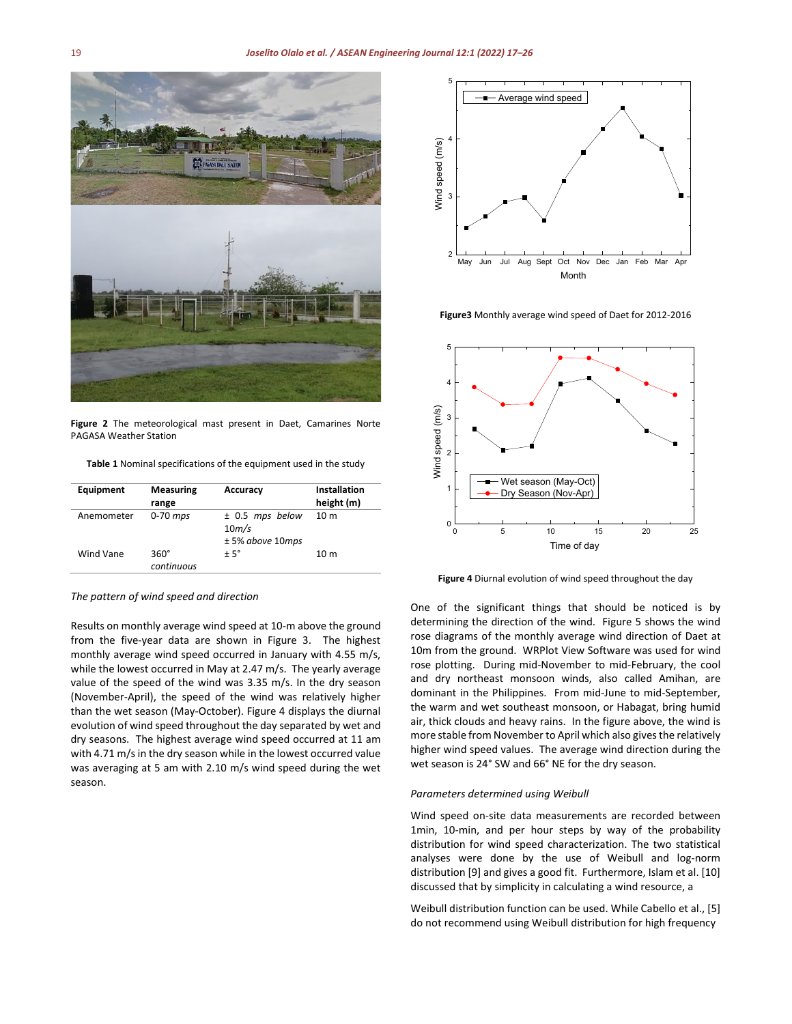

**Figure 2** The meteorological mast present in Daet, Camarines Norte PAGASA Weather Station

**Table 1** Nominal specifications of the equipment used in the study

| Equipment  | <b>Measuring</b><br>range | Accuracy                                                      | Installation<br>height (m) |
|------------|---------------------------|---------------------------------------------------------------|----------------------------|
| Anemometer | $0-70$ mps                | $±$ 0.5 mps below<br>10 <sub>m</sub> /s<br>$± 5%$ above 10mps | 10 <sub>m</sub>            |
| Wind Vane  | $360^\circ$<br>continuous | $± 5^\circ$                                                   | 10 <sub>m</sub>            |

*The pattern of wind speed and direction*

Results on monthly average wind speed at 10-m above the ground from the five-year data are shown in Figure 3. The highest monthly average wind speed occurred in January with 4.55 m/s, while the lowest occurred in May at 2.47 m/s. The yearly average value of the speed of the wind was 3.35 m/s. In the dry season (November-April), the speed of the wind was relatively higher than the wet season (May-October). Figure 4 displays the diurnal evolution of wind speed throughout the day separated by wet and dry seasons. The highest average wind speed occurred at 11 am with 4.71 m/s in the dry season while in the lowest occurred value was averaging at 5 am with 2.10 m/s wind speed during the wet season.



**Figure3** Monthly average wind speed of Daet for 2012-2016



**Figure 4** Diurnal evolution of wind speed throughout the day

One of the significant things that should be noticed is by determining the direction of the wind. Figure 5 shows the wind rose diagrams of the monthly average wind direction of Daet at 10m from the ground. WRPlot View Software was used for wind rose plotting. During mid-November to mid-February, the cool and dry northeast monsoon winds, also called Amihan, are dominant in the Philippines. From mid-June to mid-September, the warm and wet southeast monsoon, or Habagat, bring humid air, thick clouds and heavy rains. In the figure above, the wind is more stable from November to April which also gives the relatively higher wind speed values. The average wind direction during the wet season is 24° SW and 66° NE for the dry season.

#### *Parameters determined using Weibull*

Wind speed on-site data measurements are recorded between 1min, 10-min, and per hour steps by way of the probability distribution for wind speed characterization. The two statistical analyses were done by the use of Weibull and log-norm distribution [9] and gives a good fit. Furthermore, Islam et al. [10] discussed that by simplicity in calculating a wind resource, a

Weibull distribution function can be used. While Cabello et al., [5] do not recommend using Weibull distribution for high frequency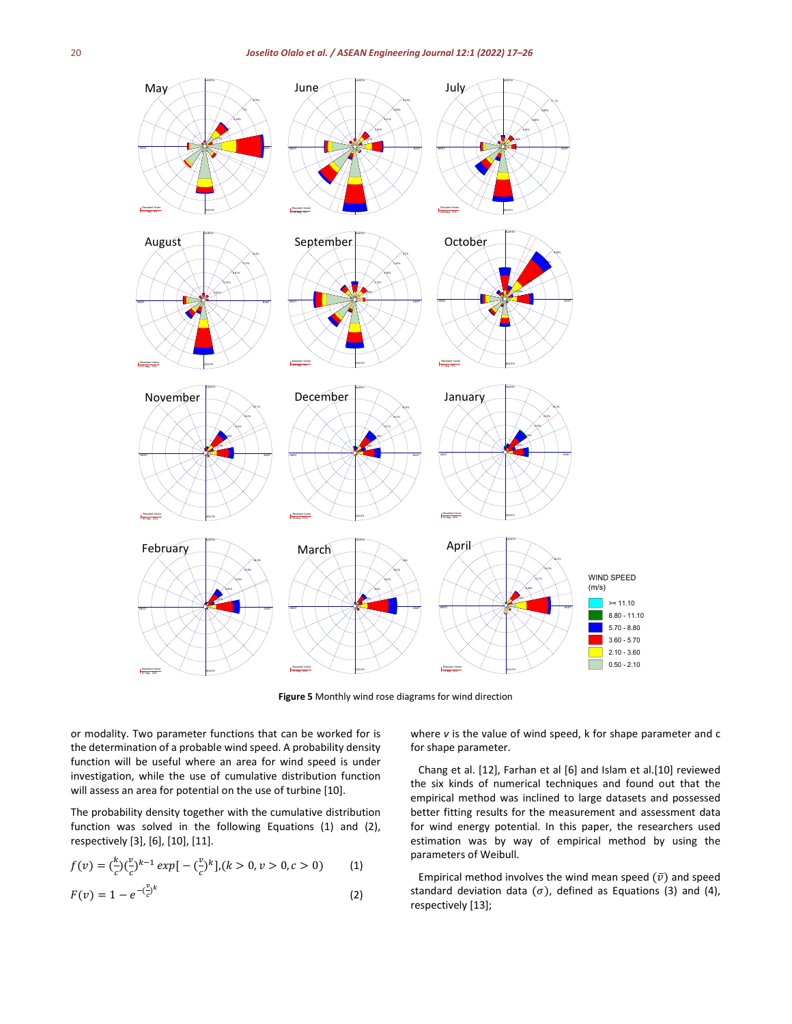

**Figure 5** Monthly wind rose diagrams for wind direction

or modality. Two parameter functions that can be worked for is the determination of a probable wind speed. A probability density function will be useful where an area for wind speed is under investigation, while the use of cumulative distribution function will assess an area for potential on the use of turbine [10].

The probability density together with the cumulative distribution function was solved in the following Equations (1) and (2), respectively [3], [6], [10], [11].

$$
f(v) = \left(\frac{k}{c}\right)\left(\frac{v}{c}\right)^{k-1} \exp\left[-\left(\frac{v}{c}\right)^k\right], (k > 0, v > 0, c > 0) \tag{1}
$$

$$
F(v) = 1 - e^{-\left(\frac{v}{c}\right)^k}
$$
 (2)

where *v* is the value of wind speed, k for shape parameter and c for shape parameter.

 Chang et al. [12], Farhan et al [6] and Islam et al.[10] reviewed the six kinds of numerical techniques and found out that the empirical method was inclined to large datasets and possessed better fitting results for the measurement and assessment data for wind energy potential. In this paper, the researchers used estimation was by way of empirical method by using the parameters of Weibull.

Empirical method involves the wind mean speed  $(\bar{v})$  and speed standard deviation data ( $\sigma$ ), defined as Equations (3) and (4), respectively [13];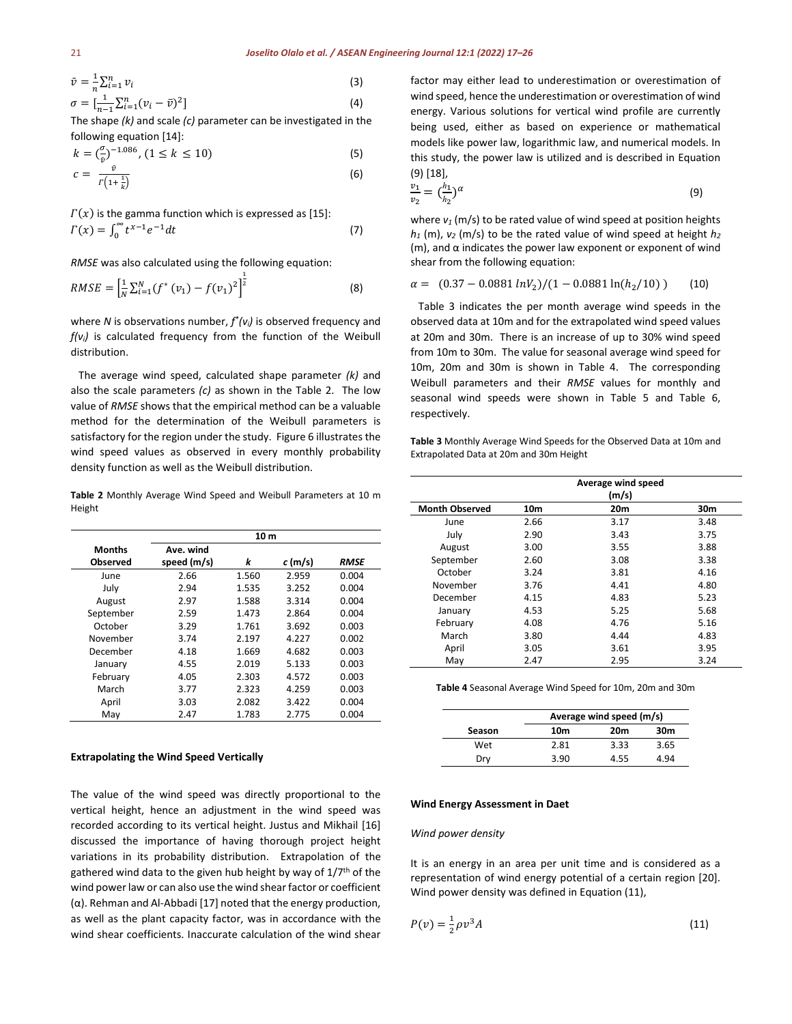$$
\begin{aligned}\n\bar{v} &= \frac{1}{n} \sum_{i=1}^{n} v_i \\
\sigma &= \left[ \frac{1}{n-1} \sum_{i=1}^{n} (v_i - \bar{v})^2 \right]\n\end{aligned} \tag{3}
$$

The shape *(k)* and scale *(c)* parameter can be investigated in the following equation [14]:

$$
k = \left(\frac{\sigma}{\hat{v}}\right)^{-1.086}, \quad (1 \le k \le 10)
$$
 (5)

$$
c = \frac{\dot{v}}{r\left(1 + \frac{1}{k}\right)}\tag{6}
$$

 $\Gamma(x)$  is the gamma function which is expressed as [15]:  $\int_{0}^{\infty} t^{x-1} e^{-t} dt$  (7)

*RMSE* was also calculated using the following equation:

$$
RMSE = \left[\frac{1}{N}\sum_{i=1}^{N} (f^*(v_1) - f(v_1)^2)\right]^{\frac{1}{2}}
$$
\n(8)

where *N* is observations number, *f\*(vi)* is observed frequency and *f(vi)* is calculated frequency from the function of the Weibull distribution.

 The average wind speed, calculated shape parameter *(k)* and also the scale parameters *(c)* as shown in the Table 2. The low value of *RMSE* shows that the empirical method can be a valuable method for the determination of the Weibull parameters is satisfactory for the region under the study. Figure 6 illustrates the wind speed values as observed in every monthly probability density function as well as the Weibull distribution.

**Table 2** Monthly Average Wind Speed and Weibull Parameters at 10 m Height

|                 |             | 10 <sub>m</sub> |           |             |
|-----------------|-------------|-----------------|-----------|-------------|
| Months          | Ave. wind   |                 |           |             |
| <b>Observed</b> | speed (m/s) | k               | $c$ (m/s) | <b>RMSE</b> |
| June            | 2.66        | 1.560           | 2.959     | 0.004       |
| July            | 2.94        | 1.535           | 3.252     | 0.004       |
| August          | 2.97        | 1.588           | 3.314     | 0.004       |
| September       | 2.59        | 1.473           | 2.864     | 0.004       |
| October         | 3.29        | 1.761           | 3.692     | 0.003       |
| November        | 3.74        | 2.197           | 4.227     | 0.002       |
| December        | 4.18        | 1.669           | 4.682     | 0.003       |
| January         | 4.55        | 2.019           | 5.133     | 0.003       |
| February        | 4.05        | 2.303           | 4.572     | 0.003       |
| March           | 3.77        | 2.323           | 4.259     | 0.003       |
| April           | 3.03        | 2.082           | 3.422     | 0.004       |
| May             | 2.47        | 1.783           | 2.775     | 0.004       |

### **Extrapolating the Wind Speed Vertically**

The value of the wind speed was directly proportional to the vertical height, hence an adjustment in the wind speed was recorded according to its vertical height. Justus and Mikhail [16] discussed the importance of having thorough project height variations in its probability distribution. Extrapolation of the gathered wind data to the given hub height by way of 1/7<sup>th</sup> of the wind power law or can also use the wind shear factor or coefficient (α). Rehman and Al-Abbadi [17] noted that the energy production, as well as the plant capacity factor, was in accordance with the wind shear coefficients. Inaccurate calculation of the wind shear

factor may either lead to underestimation or overestimation of wind speed, hence the underestimation or overestimation of wind energy. Various solutions for vertical wind profile are currently being used, either as based on experience or mathematical models like power law, logarithmic law, and numerical models. In this study, the power law is utilized and is described in Equation (9) [18],

$$
\frac{v_1}{v_2} = {h_1 \choose h_2}^{\alpha} \tag{9}
$$

where  $v_1$  (m/s) to be rated value of wind speed at position heights  $h_1$  (m),  $v_2$  (m/s) to be the rated value of wind speed at height  $h_2$  $(m)$ , and  $\alpha$  indicates the power law exponent or exponent of wind shear from the following equation:

$$
\alpha = (0.37 - 0.0881 \ln V_2)/(1 - 0.0881 \ln (h_2/10)) \tag{10}
$$

 Table 3 indicates the per month average wind speeds in the observed data at 10m and for the extrapolated wind speed values at 20m and 30m. There is an increase of up to 30% wind speed from 10m to 30m. The value for seasonal average wind speed for 10m, 20m and 30m is shown in Table 4. The corresponding Weibull parameters and their *RMSE* values for monthly and seasonal wind speeds were shown in Table 5 and Table 6, respectively.

**Table 3** Monthly Average Wind Speeds for the Observed Data at 10m and Extrapolated Data at 20m and 30m Height

|                       |      | Average wind speed |      |
|-----------------------|------|--------------------|------|
|                       |      | (m/s)              |      |
| <b>Month Observed</b> | 10m  | 20m                | 30m  |
| June                  | 2.66 | 3.17               | 3.48 |
| July                  | 2.90 | 3.43               | 3.75 |
| August                | 3.00 | 3.55               | 3.88 |
| September             | 2.60 | 3.08               | 3.38 |
| October               | 3.24 | 3.81               | 4.16 |
| November              | 3.76 | 4.41               | 4.80 |
| December              | 4.15 | 4.83               | 5.23 |
| January               | 4.53 | 5.25               | 5.68 |
| February              | 4.08 | 4.76               | 5.16 |
| March                 | 3.80 | 4.44               | 4.83 |
| April                 | 3.05 | 3.61               | 3.95 |
| May                   | 2.47 | 2.95               | 3.24 |
|                       |      |                    |      |

**Table 4** Seasonal Average Wind Speed for 10m, 20m and 30m

|        |      | Average wind speed (m/s) |      |
|--------|------|--------------------------|------|
| Season | 10m  | 20m                      | 30m  |
| Wet    | 2.81 | 3.33                     | 3.65 |
| Dry    | 3.90 | 4.55                     | 4.94 |

#### **Wind Energy Assessment in Daet**

### *Wind power density*

It is an energy in an area per unit time and is considered as a representation of wind energy potential of a certain region [20]. Wind power density was defined in Equation (11),

$$
P(v) = \frac{1}{2}\rho v^3 A \tag{11}
$$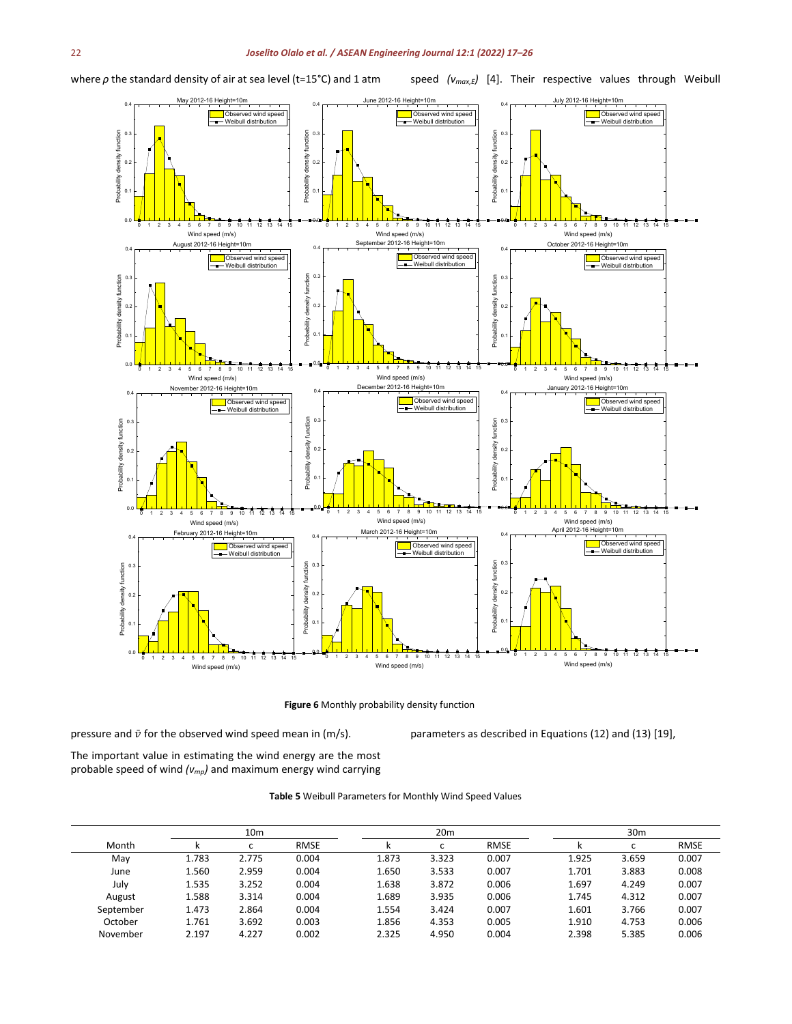where *ρ* the standard density of air at sea level (t=15°C) and 1 atm

speed ( $v_{max,E}$ ) [4]. Their respective values through Weibull



**Figure 6** Monthly probability density function

pressure and  $\bar{v}$  for the observed wind speed mean in (m/s).

parameters as described in Equations (12) and (13) [19],

The important value in estimating the wind energy are the most probable speed of wind *(vmp)* and maximum energy wind carrying

**Table 5** Weibull Parameters for Monthly Wind Speed Values

|           |       | 10 <sub>m</sub> |             |       | 20 <sub>m</sub>          |             |       | 30 <sub>m</sub> |             |
|-----------|-------|-----------------|-------------|-------|--------------------------|-------------|-------|-----------------|-------------|
| Month     |       |                 | <b>RMSE</b> | N     | $\overline{\phantom{0}}$ | <b>RMSE</b> |       |                 | <b>RMSE</b> |
| Mav       | 1.783 | 2.775           | 0.004       | 1.873 | 3.323                    | 0.007       | 1.925 | 3.659           | 0.007       |
| June      | 1.560 | 2.959           | 0.004       | 1.650 | 3.533                    | 0.007       | 1.701 | 3.883           | 0.008       |
| July      | 1.535 | 3.252           | 0.004       | 1.638 | 3.872                    | 0.006       | 1.697 | 4.249           | 0.007       |
| August    | 1.588 | 3.314           | 0.004       | 1.689 | 3.935                    | 0.006       | 1.745 | 4.312           | 0.007       |
| September | 1.473 | 2.864           | 0.004       | 1.554 | 3.424                    | 0.007       | 1.601 | 3.766           | 0.007       |
| October   | 1.761 | 3.692           | 0.003       | 1.856 | 4.353                    | 0.005       | 1.910 | 4.753           | 0.006       |
| November  | 2.197 | 4.227           | 0.002       | 2.325 | 4.950                    | 0.004       | 2.398 | 5.385           | 0.006       |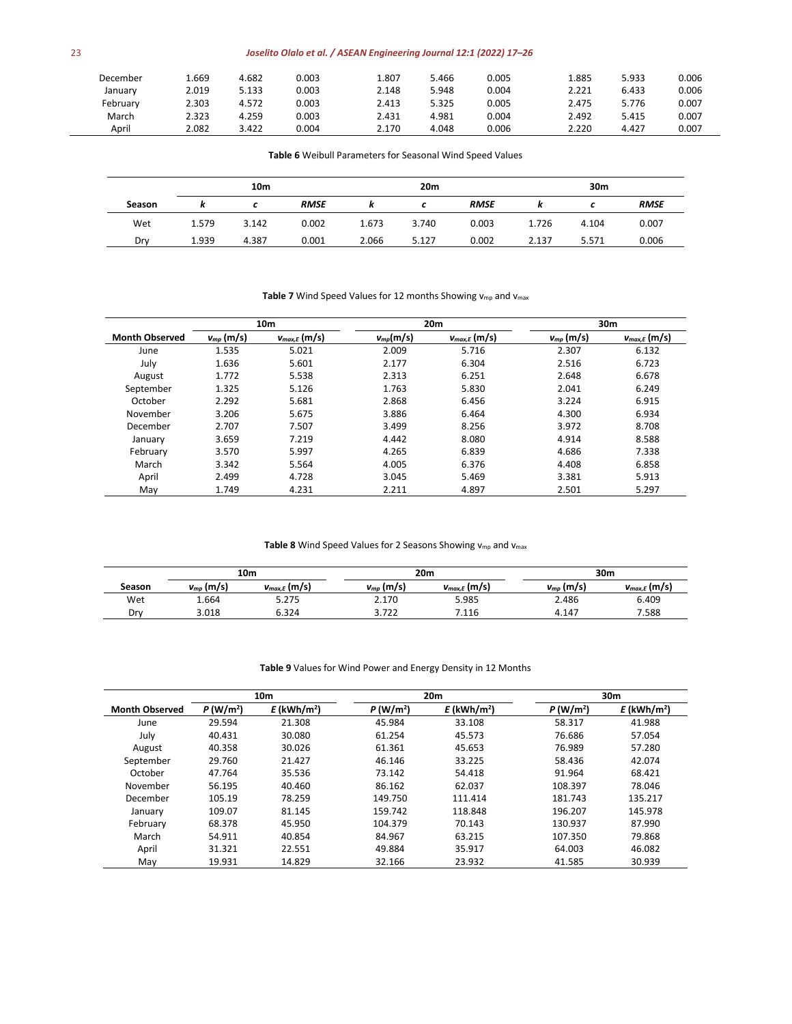# 23 *Joselito Olalo et al. / ASEAN Engineering Journal 12:1 (2022) 17–26*

| December | 1.669 | 4.682 | 0.003 | 1.807 | 5.466 | 0.005 | 1.885 | 5.933 | 0.006 |
|----------|-------|-------|-------|-------|-------|-------|-------|-------|-------|
| January  | 2.019 | 5.133 | 0.003 | 2.148 | 5.948 | 0.004 | 2.221 | 6.433 | 0.006 |
| February | 2.303 | 4.572 | 0.003 | 2.413 | 5.325 | 0.005 | 2.475 | 5.776 | 0.007 |
| March    | 2.323 | 4.259 | 0.003 | 2.431 | 4.981 | 0.004 | 2.492 | 5.415 | 0.007 |
| April    | 2.082 | 3.422 | 0.004 | 2.170 | 4.048 | 0.006 | 2.220 | 4.427 | 0.007 |

**Table 6** Weibull Parameters for Seasonal Wind Speed Values

|        |       | 10 <sub>m</sub> |             |       | 20m   |             |       | 30m   |             |
|--------|-------|-----------------|-------------|-------|-------|-------------|-------|-------|-------------|
| Season |       |                 | <b>RMSE</b> |       |       | <b>RMSE</b> |       |       | <b>RMSE</b> |
| Wet    | 1.579 | 3.142           | 0.002       | 1.673 | 3.740 | 0.003       | 1.726 | 4.104 | 0.007       |
| Drv    | 1.939 | 4.387           | 0.001       | 2.066 | 5.127 | 0.002       | 2.137 | 5.571 | 0.006       |

# Table 7 Wind Speed Values for 12 months Showing v<sub>mp</sub> and v<sub>max</sub>

|                       |                | 10 <sub>m</sub>   |               | 20 <sub>m</sub>   |                | 30 <sub>m</sub>   |
|-----------------------|----------------|-------------------|---------------|-------------------|----------------|-------------------|
| <b>Month Observed</b> | $v_{mp}$ (m/s) | $v_{max,E}$ (m/s) | $v_{mp}(m/s)$ | $v_{max,E}$ (m/s) | $v_{mp}$ (m/s) | $V_{max,E}$ (m/s) |
| June                  | 1.535          | 5.021             | 2.009         | 5.716             | 2.307          | 6.132             |
| July                  | 1.636          | 5.601             | 2.177         | 6.304             | 2.516          | 6.723             |
| August                | 1.772          | 5.538             | 2.313         | 6.251             | 2.648          | 6.678             |
| September             | 1.325          | 5.126             | 1.763         | 5.830             | 2.041          | 6.249             |
| October               | 2.292          | 5.681             | 2.868         | 6.456             | 3.224          | 6.915             |
| November              | 3.206          | 5.675             | 3.886         | 6.464             | 4.300          | 6.934             |
| December              | 2.707          | 7.507             | 3.499         | 8.256             | 3.972          | 8.708             |
| January               | 3.659          | 7.219             | 4.442         | 8.080             | 4.914          | 8.588             |
| February              | 3.570          | 5.997             | 4.265         | 6.839             | 4.686          | 7.338             |
| March                 | 3.342          | 5.564             | 4.005         | 6.376             | 4.408          | 6.858             |
| April                 | 2.499          | 4.728             | 3.045         | 5.469             | 3.381          | 5.913             |
| May                   | 1.749          | 4.231             | 2.211         | 4.897             | 2.501          | 5.297             |

# Table 8 Wind Speed Values for 2 Seasons Showing v<sub>mp</sub> and v<sub>max</sub>

|        |                | 10m               | 20 <sub>m</sub> |                   | 30 <sub>m</sub>    |                   |
|--------|----------------|-------------------|-----------------|-------------------|--------------------|-------------------|
| Season | $v_{mp}$ (m/s) | $v_{max,E}$ (m/s) | $v_{mp}$ (m/s)  | $v_{max,E}$ (m/s) | $v_{\mu\nu}$ (m/s) | $v_{max,E}$ (m/s) |
| Wet    | 1.664          | 5.275             | 2.170           | 5.985             | 2.486              | 6.409             |
| Drv    | 3.018          | 6.324             | 3.722           | 1.116             | 4.147              | 7.588             |

## **Table 9** Values for Wind Power and Energy Density in 12 Months

|                       |                      | 10 <sub>m</sub>           |            | 20 <sub>m</sub>           |                      | 30 <sub>m</sub>           |
|-----------------------|----------------------|---------------------------|------------|---------------------------|----------------------|---------------------------|
| <b>Month Observed</b> | P(W/m <sup>2</sup> ) | $E$ (kWh/m <sup>2</sup> ) | $P(W/m^2)$ | $E$ (kWh/m <sup>2</sup> ) | P(W/m <sup>2</sup> ) | $E$ (kWh/m <sup>2</sup> ) |
| June                  | 29.594               | 21.308                    | 45.984     | 33.108                    | 58.317               | 41.988                    |
| July                  | 40.431               | 30.080                    | 61.254     | 45.573                    | 76.686               | 57.054                    |
| August                | 40.358               | 30.026                    | 61.361     | 45.653                    | 76.989               | 57.280                    |
| September             | 29.760               | 21.427                    | 46.146     | 33.225                    | 58.436               | 42.074                    |
| October               | 47.764               | 35.536                    | 73.142     | 54.418                    | 91.964               | 68.421                    |
| November              | 56.195               | 40.460                    | 86.162     | 62.037                    | 108.397              | 78.046                    |
| December              | 105.19               | 78.259                    | 149.750    | 111.414                   | 181.743              | 135.217                   |
| January               | 109.07               | 81.145                    | 159.742    | 118.848                   | 196.207              | 145.978                   |
| February              | 68.378               | 45.950                    | 104.379    | 70.143                    | 130.937              | 87.990                    |
| March                 | 54.911               | 40.854                    | 84.967     | 63.215                    | 107.350              | 79.868                    |
| April                 | 31.321               | 22.551                    | 49.884     | 35.917                    | 64.003               | 46.082                    |
| May                   | 19.931               | 14.829                    | 32.166     | 23.932                    | 41.585               | 30.939                    |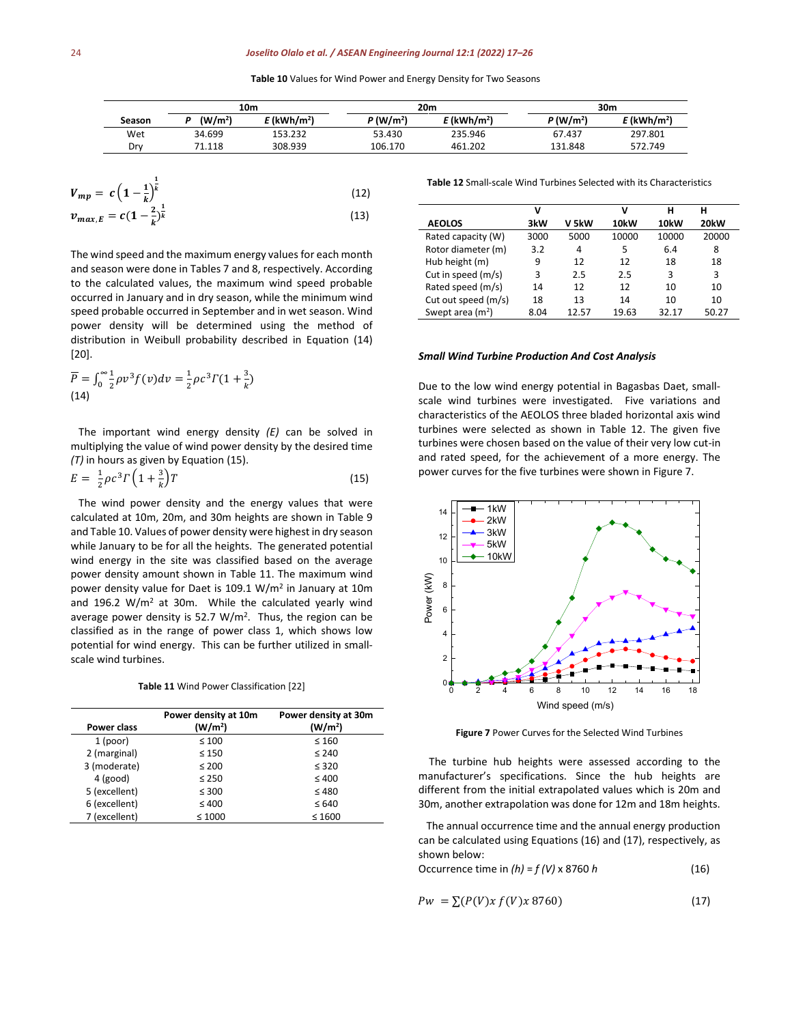**Table 10** Values for Wind Power and Energy Density for Two Seasons

|        |                     | 10m                     |                         | 20 <sub>m</sub>           |                         | 30m        |
|--------|---------------------|-------------------------|-------------------------|---------------------------|-------------------------|------------|
| Season | (W/m <sup>2</sup> ) | E (kWh/m <sup>2</sup> ) | $P$ (W/m <sup>2</sup> ) | $E$ (kWh/m <sup>2</sup> ) | $P$ (W/m <sup>2</sup> ) | E (kWh/m²) |
| Wet    | 34.699              | 153.232                 | 53.430                  | 235.946                   | 67.437                  | 297.801    |
| Drv    | 71.118              | 308.939                 | 106.170                 | 461.202                   | 131.848                 | 572.749    |

$$
V_{mp} = c \left(1 - \frac{1}{k}\right)^{\frac{1}{k}}
$$
(12)  

$$
v_{max,E} = c \left(1 - \frac{2}{k}\right)^{\frac{1}{k}}
$$
(13)

The wind speed and the maximum energy values for each month and season were done in Tables 7 and 8, respectively. According to the calculated values, the maximum wind speed probable occurred in January and in dry season, while the minimum wind speed probable occurred in September and in wet season. Wind power density will be determined using the method of distribution in Weibull probability described in Equation (14) [20].

$$
\overline{P} = \int_0^\infty \frac{1}{2} \rho v^3 f(v) dv = \frac{1}{2} \rho c^3 \Gamma(1 + \frac{3}{k})
$$
\n(14)

K

 The important wind energy density *(E)* can be solved in multiplying the value of wind power density by the desired time *(T)* in hours as given by Equation (15).

$$
E = \frac{1}{2}\rho c^3 \Gamma \left(1 + \frac{3}{k}\right) T \tag{15}
$$

 The wind power density and the energy values that were calculated at 10m, 20m, and 30m heights are shown in Table 9 and Table 10. Values of power density were highest in dry season while January to be for all the heights. The generated potential wind energy in the site was classified based on the average power density amount shown in Table 11. The maximum wind power density value for Daet is 109.1 W/m<sup>2</sup> in January at 10m and 196.2  $W/m^2$  at 30m. While the calculated yearly wind average power density is 52.7  $W/m^2$ . Thus, the region can be classified as in the range of power class 1, which shows low potential for wind energy. This can be further utilized in smallscale wind turbines.

**Table 11** Wind Power Classification [22]

| Power class   | Power density at 10m<br>(W/m <sup>2</sup> ) | Power density at 30m<br>(W/m <sup>2</sup> ) |
|---------------|---------------------------------------------|---------------------------------------------|
| 1 (poor)      | $\leq 100$                                  | $\leq 160$                                  |
| 2 (marginal)  | $\leq 150$                                  | $\leq 240$                                  |
| 3 (moderate)  | $\leq 200$                                  | $\leq$ 320                                  |
| $4$ (good)    | $\leq 250$                                  | $\leq 400$                                  |
| 5 (excellent) | $\leq 300$                                  | $\leq 480$                                  |
| 6 (excellent) | $\leq 400$                                  | $\leq 640$                                  |
| 7 (excellent) | $\leq 1000$                                 | $\leq 1600$                                 |

**Table 12** Small-scale Wind Turbines Selected with its Characteristics

|                     | v    |       | ٧     | н     | н     |
|---------------------|------|-------|-------|-------|-------|
| <b>AEOLOS</b>       | 3kW  | V 5kW | 10kW  | 10kW  | 20kW  |
| Rated capacity (W)  | 3000 | 5000  | 10000 | 10000 | 20000 |
| Rotor diameter (m)  | 3.2  | 4     | 5     | 6.4   | 8     |
| Hub height (m)      | 9    | 12    | 12    | 18    | 18    |
| Cut in speed (m/s)  | 3    | 2.5   | 2.5   | 3     | 3     |
| Rated speed (m/s)   | 14   | 12    | 12    | 10    | 10    |
| Cut out speed (m/s) | 18   | 13    | 14    | 10    | 10    |
| Swept area $(m2)$   | 8.04 | 12.57 | 19.63 | 32.17 | 50.27 |

#### *Small Wind Turbine Production And Cost Analysis*

Due to the low wind energy potential in Bagasbas Daet, smallscale wind turbines were investigated. Five variations and characteristics of the AEOLOS three bladed horizontal axis wind turbines were selected as shown in Table 12. The given five turbines were chosen based on the value of their very low cut-in and rated speed, for the achievement of a more energy. The power curves for the five turbines were shown in Figure 7.



**Figure 7** Power Curves for the Selected Wind Turbines

 The turbine hub heights were assessed according to the manufacturer's specifications. Since the hub heights are different from the initial extrapolated values which is 20m and 30m, another extrapolation was done for 12m and 18m heights.

 The annual occurrence time and the annual energy production can be calculated using Equations (16) and (17), respectively, as shown below:

$$
Occurrence time in (h) = f(V) \times 8760 h \tag{16}
$$

$$
Pw = \sum (P(V)x f(V)x 8760) \tag{17}
$$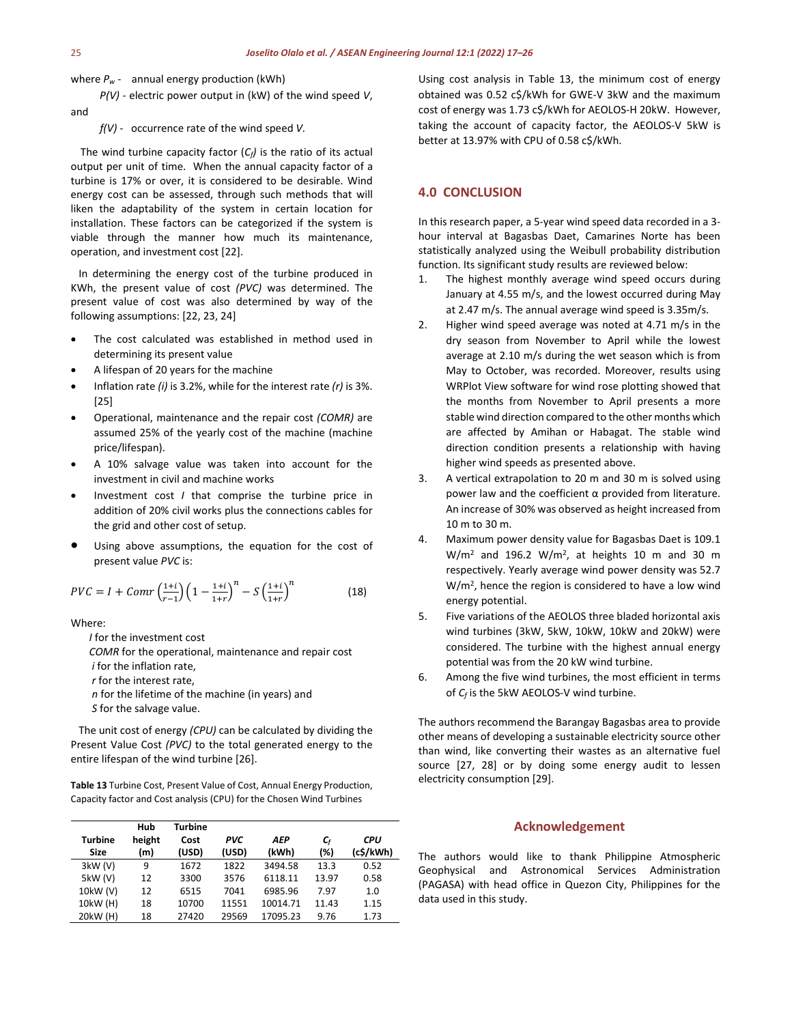where  $P_w$  - annual energy production (kWh)

 *P(V)* - electric power output in (kW) of the wind speed *V*, and

*f(V)* - occurrence rate of the wind speed *V.*

The wind turbine capacity factor  $(C_f)$  is the ratio of its actual output per unit of time. When the annual capacity factor of a turbine is 17% or over, it is considered to be desirable. Wind energy cost can be assessed, through such methods that will liken the adaptability of the system in certain location for installation. These factors can be categorized if the system is viable through the manner how much its maintenance, operation, and investment cost [22].

 In determining the energy cost of the turbine produced in KWh, the present value of cost *(PVC)* was determined. The present value of cost was also determined by way of the following assumptions: [22, 23, 24]

- The cost calculated was established in method used in determining its present value
- A lifespan of 20 years for the machine
- Inflation rate *(i)* is 3.2%, while for the interest rate *(r)* is 3%. [25]
- Operational, maintenance and the repair cost *(COMR)* are assumed 25% of the yearly cost of the machine (machine price/lifespan).
- A 10% salvage value was taken into account for the investment in civil and machine works
- Investment cost *I* that comprise the turbine price in addition of 20% civil works plus the connections cables for the grid and other cost of setup.
- Using above assumptions, the equation for the cost of present value *PVC* is:

$$
PVC = I + Comr \left(\frac{1+i}{r-1}\right) \left(1 - \frac{1+i}{1+r}\right)^n - S \left(\frac{1+i}{1+r}\right)^n \tag{18}
$$

Where:

 *I* for the investment cost *COMR* for the operational, maintenance and repair cost  *i* for the inflation rate, *r* for the interest rate, *n* for the lifetime of the machine (in years) and *S* for the salvage value.

 The unit cost of energy *(CPU)* can be calculated by dividing the Present Value Cost *(PVC)* to the total generated energy to the entire lifespan of the wind turbine [26].

**Table 13** Turbine Cost, Present Value of Cost, Annual Energy Production, Capacity factor and Cost analysis (CPU) for the Chosen Wind Turbines

| <b>Turbine</b><br>Size | Hub<br>height<br>(m) | <b>Turbine</b><br>Cost<br>(USD) | <b>PVC</b><br>(USD) | AEP<br>(kWh) | $\mathsf{C}_\mathsf{f}$<br>(%) | <b>CPU</b><br>(c\$/kWh) |
|------------------------|----------------------|---------------------------------|---------------------|--------------|--------------------------------|-------------------------|
| 3kW(V)                 | 9                    | 1672                            | 1822                | 3494.58      | 13.3                           | 0.52                    |
| 5kW (V)                | 12                   | 3300                            | 3576                | 6118.11      | 13.97                          | 0.58                    |
| 10kW (V)               | 12                   | 6515                            | 7041                | 6985.96      | 7.97                           | 1.0                     |
| 10kW (H)               | 18                   | 10700                           | 11551               | 10014.71     | 11.43                          | 1.15                    |
| 20kW (H)               | 18                   | 27420                           | 29569               | 17095.23     | 9.76                           | 1.73                    |

Using cost analysis in Table 13, the minimum cost of energy obtained was 0.52 c\$/kWh for GWE-V 3kW and the maximum cost of energy was 1.73 c\$/kWh for AEOLOS-H 20kW. However, taking the account of capacity factor, the AEOLOS-V 5kW is better at 13.97% with CPU of 0.58 c\$/kWh.

# **4.0 CONCLUSION**

In this research paper, a 5-year wind speed data recorded in a 3 hour interval at Bagasbas Daet, Camarines Norte has been statistically analyzed using the Weibull probability distribution function. Its significant study results are reviewed below:

- 1. The highest monthly average wind speed occurs during January at 4.55 m/s, and the lowest occurred during May at 2.47 m/s. The annual average wind speed is 3.35m/s.
- 2. Higher wind speed average was noted at 4.71 m/s in the dry season from November to April while the lowest average at 2.10 m/s during the wet season which is from May to October, was recorded. Moreover, results using WRPlot View software for wind rose plotting showed that the months from November to April presents a more stable wind direction compared to the other months which are affected by Amihan or Habagat. The stable wind direction condition presents a relationship with having higher wind speeds as presented above.
- 3. A vertical extrapolation to 20 m and 30 m is solved using power law and the coefficient  $α$  provided from literature. An increase of 30% was observed as height increased from 10 m to 30 m.
- 4. Maximum power density value for Bagasbas Daet is 109.1  $W/m<sup>2</sup>$  and 196.2  $W/m<sup>2</sup>$ , at heights 10 m and 30 m respectively. Yearly average wind power density was 52.7  $W/m<sup>2</sup>$ , hence the region is considered to have a low wind energy potential.
- 5. Five variations of the AEOLOS three bladed horizontal axis wind turbines (3kW, 5kW, 10kW, 10kW and 20kW) were considered. The turbine with the highest annual energy potential was from the 20 kW wind turbine.
- 6. Among the five wind turbines, the most efficient in terms of *Cf* is the 5kW AEOLOS-V wind turbine.

The authors recommend the Barangay Bagasbas area to provide other means of developing a sustainable electricity source other than wind, like converting their wastes as an alternative fuel source [27, 28] or by doing some energy audit to lessen electricity consumption [29].

# **Acknowledgement**

The authors would like to thank Philippine Atmospheric Geophysical and Astronomical Services Administration (PAGASA) with head office in Quezon City, Philippines for the data used in this study.